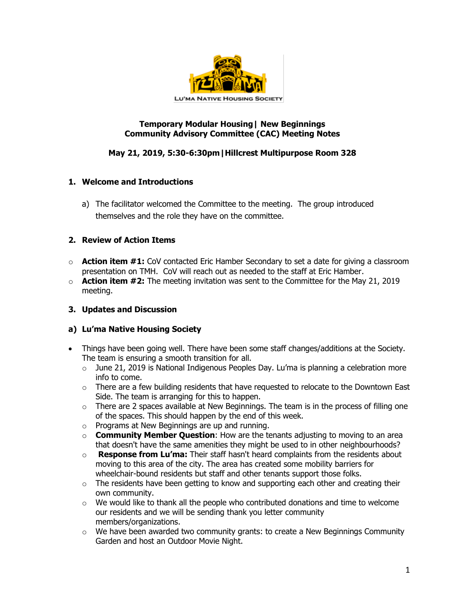

### **Temporary Modular Housing| New Beginnings Community Advisory Committee (CAC) Meeting Notes**

# **May 21, 2019, 5:30-6:30pm|Hillcrest Multipurpose Room 328**

## **1. Welcome and Introductions**

a) The facilitator welcomed the Committee to the meeting. The group introduced themselves and the role they have on the committee.

### **2. Review of Action Items**

- o **Action item #1:** CoV contacted Eric Hamber Secondary to set a date for giving a classroom presentation on TMH. CoV will reach out as needed to the staff at Eric Hamber.
- o **Action item #2:** The meeting invitation was sent to the Committee for the May 21, 2019 meeting.

## **3. Updates and Discussion**

#### **a) Lu'ma Native Housing Society**

- Things have been going well. There have been some staff changes/additions at the Society. The team is ensuring a smooth transition for all.
	- $\circ$  June 21, 2019 is National Indigenous Peoples Day. Lu'ma is planning a celebration more info to come.
	- $\circ$  There are a few building residents that have requested to relocate to the Downtown East Side. The team is arranging for this to happen.
	- o There are 2 spaces available at New Beginnings. The team is in the process of filling one of the spaces. This should happen by the end of this week.
	- o Programs at New Beginnings are up and running.
	- o **Community Member Question**: How are the tenants adjusting to moving to an area that doesn't have the same amenities they might be used to in other neighbourhoods?
	- o **Response from Lu'ma:** Their staff hasn't heard complaints from the residents about moving to this area of the city. The area has created some mobility barriers for wheelchair-bound residents but staff and other tenants support those folks.
	- $\circ$  The residents have been getting to know and supporting each other and creating their own community.
	- $\circ$  We would like to thank all the people who contributed donations and time to welcome our residents and we will be sending thank you letter community members/organizations.
	- $\circ$  We have been awarded two community grants: to create a New Beginnings Community Garden and host an Outdoor Movie Night.